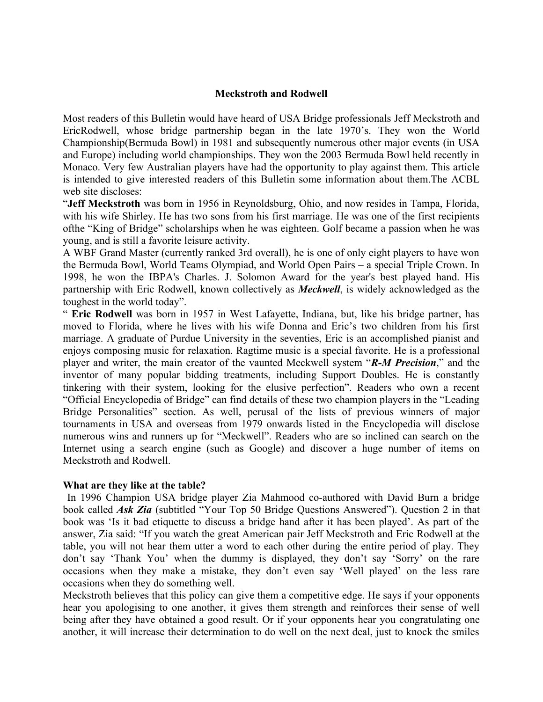## **Meckstroth and Rodwell**

Most readers of this Bulletin would have heard of USA Bridge professionals Jeff Meckstroth and EricRodwell, whose bridge partnership began in the late 1970's. They won the World Championship(Bermuda Bowl) in 1981 and subsequently numerous other major events (in USA and Europe) including world championships. They won the 2003 Bermuda Bowl held recently in Monaco. Very few Australian players have had the opportunity to play against them. This article is intended to give interested readers of this Bulletin some information about them.The ACBL web site discloses:

"**Jeff Meckstroth** was born in 1956 in Reynoldsburg, Ohio, and now resides in Tampa, Florida, with his wife Shirley. He has two sons from his first marriage. He was one of the first recipients ofthe "King of Bridge" scholarships when he was eighteen. Golf became a passion when he was young, and is still a favorite leisure activity.

A WBF Grand Master (currently ranked 3rd overall), he is one of only eight players to have won the Bermuda Bowl, World Teams Olympiad, and World Open Pairs – a special Triple Crown. In 1998, he won the IBPA's Charles. J. Solomon Award for the year's best played hand. His partnership with Eric Rodwell, known collectively as *Meckwell*, is widely acknowledged as the toughest in the world today".

" **Eric Rodwell** was born in 1957 in West Lafayette, Indiana, but, like his bridge partner, has moved to Florida, where he lives with his wife Donna and Eric's two children from his first marriage. A graduate of Purdue University in the seventies, Eric is an accomplished pianist and enjoys composing music for relaxation. Ragtime music is a special favorite. He is a professional player and writer, the main creator of the vaunted Meckwell system "*R-M Precision*," and the inventor of many popular bidding treatments, including Support Doubles. He is constantly tinkering with their system, looking for the elusive perfection". Readers who own a recent "Official Encyclopedia of Bridge" can find details of these two champion players in the "Leading Bridge Personalities" section. As well, perusal of the lists of previous winners of major tournaments in USA and overseas from 1979 onwards listed in the Encyclopedia will disclose numerous wins and runners up for "Meckwell". Readers who are so inclined can search on the Internet using a search engine (such as Google) and discover a huge number of items on Meckstroth and Rodwell.

## **What are they like at the table?**

In 1996 Champion USA bridge player Zia Mahmood co-authored with David Burn a bridge book called *Ask Zia* (subtitled "Your Top 50 Bridge Questions Answered"). Question 2 in that book was 'Is it bad etiquette to discuss a bridge hand after it has been played'. As part of the answer, Zia said: "If you watch the great American pair Jeff Meckstroth and Eric Rodwell at the table, you will not hear them utter a word to each other during the entire period of play. They don't say 'Thank You' when the dummy is displayed, they don't say 'Sorry' on the rare occasions when they make a mistake, they don't even say 'Well played' on the less rare occasions when they do something well.

Meckstroth believes that this policy can give them a competitive edge. He says if your opponents hear you apologising to one another, it gives them strength and reinforces their sense of well being after they have obtained a good result. Or if your opponents hear you congratulating one another, it will increase their determination to do well on the next deal, just to knock the smiles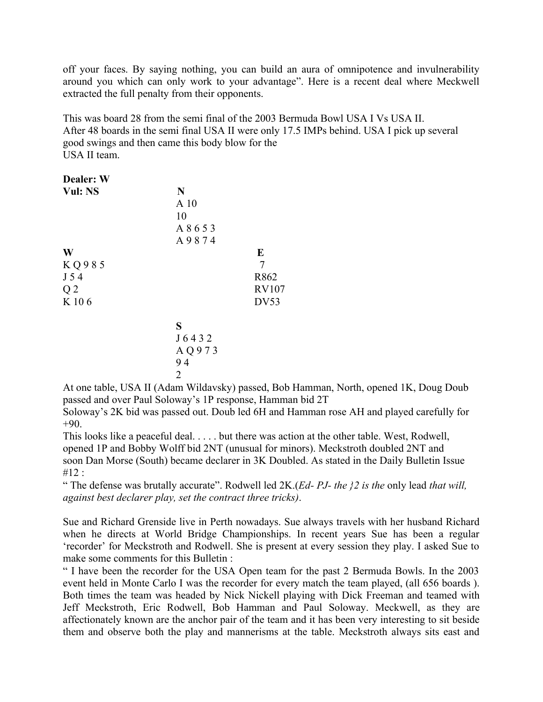off your faces. By saying nothing, you can build an aura of omnipotence and invulnerability around you which can only work to your advantage". Here is a recent deal where Meckwell extracted the full penalty from their opponents.

This was board 28 from the semi final of the 2003 Bermuda Bowl USA I Vs USA II. After 48 boards in the semi final USA II were only 17.5 IMPs behind. USA I pick up several good swings and then came this body blow for the USA II team.

| <b>Dealer: W</b> |                 |              |
|------------------|-----------------|--------------|
| Vul: NS          | N               |              |
|                  | A <sub>10</sub> |              |
|                  | 10              |              |
|                  | A 8 6 5 3       |              |
|                  | A9874           |              |
| W                |                 | E            |
| KQ985            |                 | 7            |
| J 54             |                 | R862         |
| Q <sub>2</sub>   |                 | <b>RV107</b> |
| K 106            |                 | DV53         |
|                  | S               |              |
|                  | J6432           |              |
|                  | AQ973           |              |
|                  | $\sim$ $\sim$   |              |

$$
\begin{array}{c} 94 \\ 2 \end{array}
$$

At one table, USA II (Adam Wildavsky) passed, Bob Hamman, North, opened 1K, Doug Doub passed and over Paul Soloway's 1P response, Hamman bid 2T

Soloway's 2K bid was passed out. Doub led 6H and Hamman rose AH and played carefully for  $+90.$ 

This looks like a peaceful deal. . . . . but there was action at the other table. West, Rodwell, opened 1P and Bobby Wolff bid 2NT (unusual for minors). Meckstroth doubled 2NT and soon Dan Morse (South) became declarer in 3K Doubled. As stated in the Daily Bulletin Issue  $#12:$ 

" The defense was brutally accurate". Rodwell led 2K.(*Ed- PJ- the }2 is the* only lead *that will, against best declarer play, set the contract three tricks)*.

Sue and Richard Grenside live in Perth nowadays. Sue always travels with her husband Richard when he directs at World Bridge Championships. In recent years Sue has been a regular 'recorder' for Meckstroth and Rodwell. She is present at every session they play. I asked Sue to make some comments for this Bulletin :

" I have been the recorder for the USA Open team for the past 2 Bermuda Bowls. In the 2003 event held in Monte Carlo I was the recorder for every match the team played, (all 656 boards ). Both times the team was headed by Nick Nickell playing with Dick Freeman and teamed with Jeff Meckstroth, Eric Rodwell, Bob Hamman and Paul Soloway. Meckwell, as they are affectionately known are the anchor pair of the team and it has been very interesting to sit beside them and observe both the play and mannerisms at the table. Meckstroth always sits east and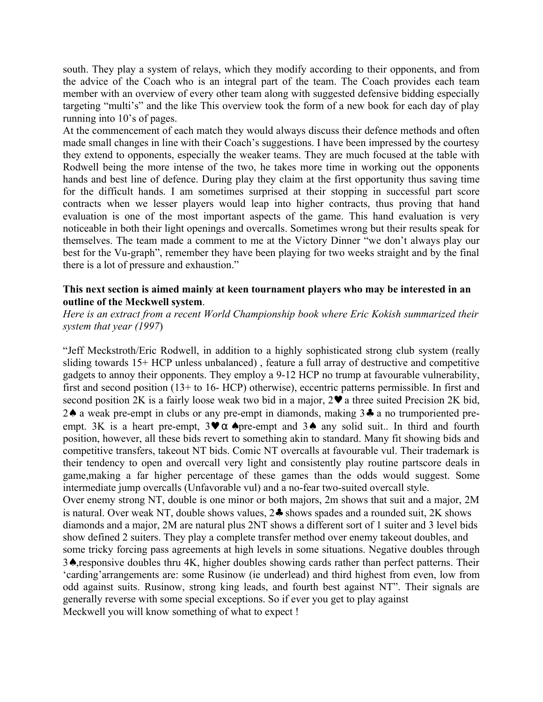south. They play a system of relays, which they modify according to their opponents, and from the advice of the Coach who is an integral part of the team. The Coach provides each team member with an overview of every other team along with suggested defensive bidding especially targeting "multi's" and the like This overview took the form of a new book for each day of play running into 10's of pages.

At the commencement of each match they would always discuss their defence methods and often made small changes in line with their Coach's suggestions. I have been impressed by the courtesy they extend to opponents, especially the weaker teams. They are much focused at the table with Rodwell being the more intense of the two, he takes more time in working out the opponents hands and best line of defence. During play they claim at the first opportunity thus saving time for the difficult hands. I am sometimes surprised at their stopping in successful part score contracts when we lesser players would leap into higher contracts, thus proving that hand evaluation is one of the most important aspects of the game. This hand evaluation is very noticeable in both their light openings and overcalls. Sometimes wrong but their results speak for themselves. The team made a comment to me at the Victory Dinner "we don't always play our best for the Vu-graph", remember they have been playing for two weeks straight and by the final there is a lot of pressure and exhaustion."

## **This next section is aimed mainly at keen tournament players who may be interested in an outline of the Meckwell system**.

*Here is an extract from a recent World Championship book where Eric Kokish summarized their system that year (1997*)

"Jeff Meckstroth/Eric Rodwell, in addition to a highly sophisticated strong club system (really sliding towards 15+ HCP unless unbalanced) , feature a full array of destructive and competitive gadgets to annoy their opponents. They employ a 9-12 HCP no trump at favourable vulnerability, first and second position (13+ to 16- HCP) otherwise), eccentric patterns permissible. In first and second position 2K is a fairly loose weak two bid in a major,  $2\vee$  a three suited Precision 2K bid, 2♠ a weak pre-empt in clubs or any pre-empt in diamonds, making 3♣ a no trumporiented preempt. 3K is a heart pre-empt,  $3 \vee \alpha$   $\triangle$  pre-empt and  $3 \triangle$  any solid suit.. In third and fourth position, however, all these bids revert to something akin to standard. Many fit showing bids and competitive transfers, takeout NT bids. Comic NT overcalls at favourable vul. Their trademark is their tendency to open and overcall very light and consistently play routine partscore deals in game,making a far higher percentage of these games than the odds would suggest. Some intermediate jump overcalls (Unfavorable vul) and a no-fear two-suited overcall style. Over enemy strong NT, double is one minor or both majors, 2m shows that suit and a major, 2M is natural. Over weak NT, double shows values, 2♣ shows spades and a rounded suit, 2K shows diamonds and a major, 2M are natural plus 2NT shows a different sort of 1 suiter and 3 level bids show defined 2 suiters. They play a complete transfer method over enemy takeout doubles, and some tricky forcing pass agreements at high levels in some situations. Negative doubles through 3♠,responsive doubles thru 4K, higher doubles showing cards rather than perfect patterns. Their 'carding'arrangements are: some Rusinow (ie underlead) and third highest from even, low from odd against suits. Rusinow, strong king leads, and fourth best against NT". Their signals are generally reverse with some special exceptions. So if ever you get to play against Meckwell you will know something of what to expect !